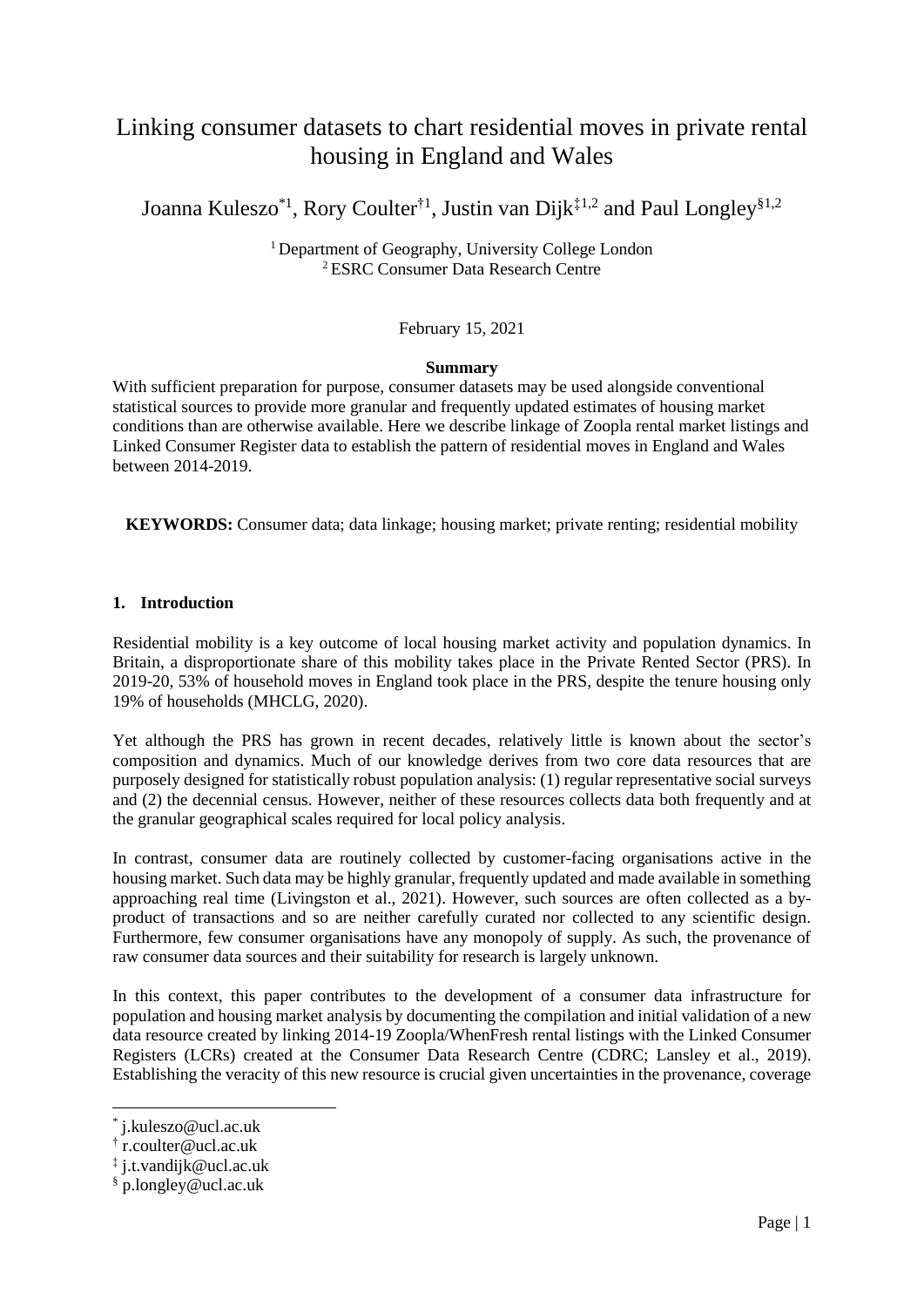# Linking consumer datasets to chart residential moves in private rental housing in England and Wales

Joanna Kuleszo<sup>\*1</sup>, Rory Coulter<sup>†1</sup>, Justin van Dijk<sup>‡1,2</sup> and Paul Longley<sup>§1,2</sup>

<sup>1</sup> Department of Geography, University College London <sup>2</sup>ESRC Consumer Data Research Centre

February 15, 2021

# **Summary**

With sufficient preparation for purpose, consumer datasets may be used alongside conventional statistical sources to provide more granular and frequently updated estimates of housing market conditions than are otherwise available. Here we describe linkage of Zoopla rental market listings and Linked Consumer Register data to establish the pattern of residential moves in England and Wales between 2014-2019.

**KEYWORDS:** Consumer data; data linkage; housing market; private renting; residential mobility

# **1. Introduction**

Residential mobility is a key outcome of local housing market activity and population dynamics. In Britain, a disproportionate share of this mobility takes place in the Private Rented Sector (PRS). In 2019-20, 53% of household moves in England took place in the PRS, despite the tenure housing only 19% of households (MHCLG, 2020).

Yet although the PRS has grown in recent decades, relatively little is known about the sector's composition and dynamics. Much of our knowledge derives from two core data resources that are purposely designed for statistically robust population analysis: (1) regular representative social surveys and (2) the decennial census. However, neither of these resources collects data both frequently and at the granular geographical scales required for local policy analysis.

In contrast, consumer data are routinely collected by customer-facing organisations active in the housing market. Such data may be highly granular, frequently updated and made available in something approaching real time (Livingston et al., 2021). However, such sources are often collected as a byproduct of transactions and so are neither carefully curated nor collected to any scientific design. Furthermore, few consumer organisations have any monopoly of supply. As such, the provenance of raw consumer data sources and their suitability for research is largely unknown.

In this context, this paper contributes to the development of a consumer data infrastructure for population and housing market analysis by documenting the compilation and initial validation of a new data resource created by linking 2014-19 Zoopla/WhenFresh rental listings with the Linked Consumer Registers (LCRs) created at the Consumer Data Research Centre (CDRC; Lansley et al., 2019). Establishing the veracity of this new resource is crucial given uncertainties in the provenance, coverage

 $\overline{a}$ 

<sup>\*</sup> j.kuleszo@ucl.ac.uk

<sup>†</sup> r.coulter@ucl.ac.uk

<sup>‡</sup> j.t.vandijk@ucl.ac.uk

<sup>§</sup> p.longley@ucl.ac.uk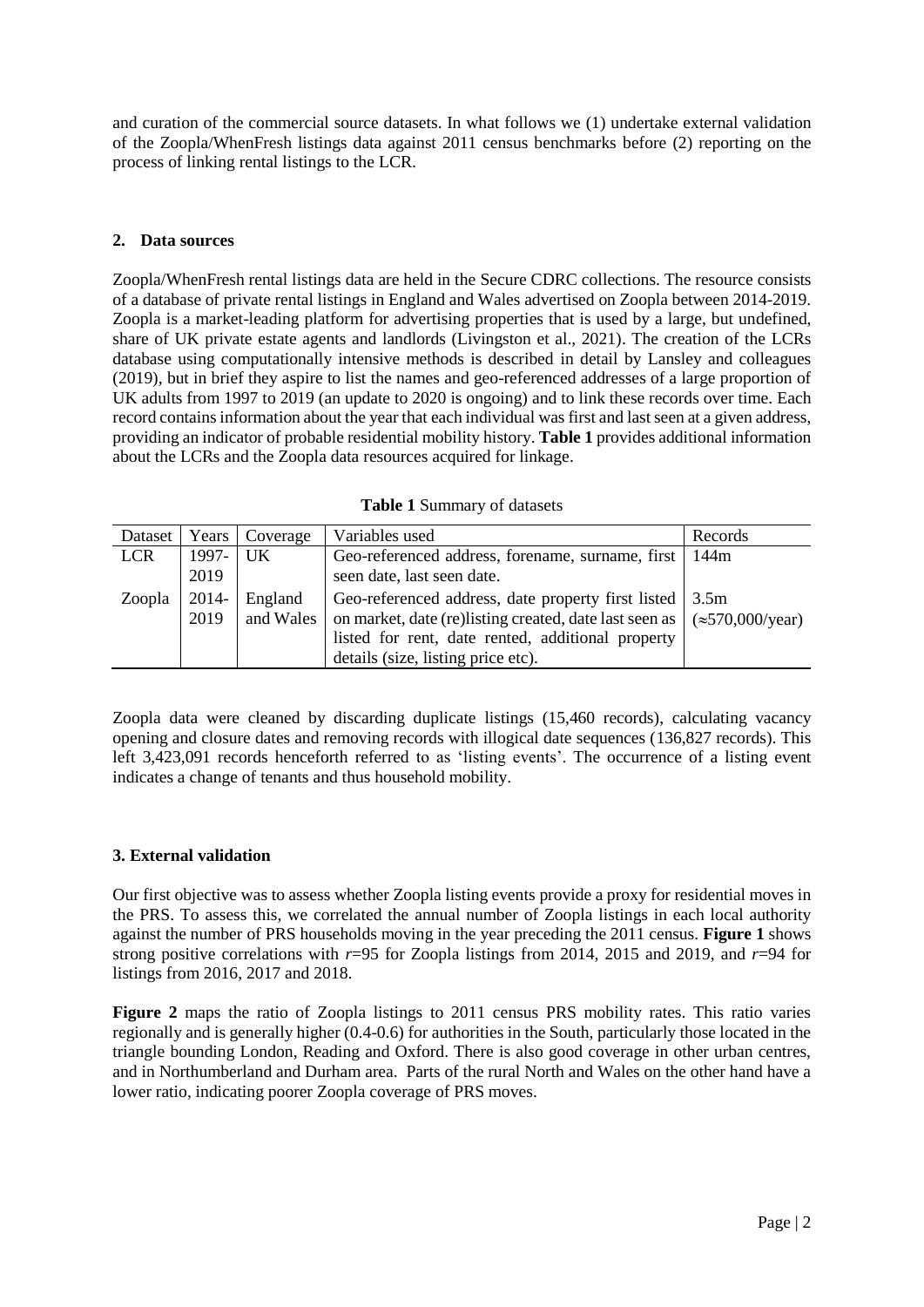and curation of the commercial source datasets. In what follows we (1) undertake external validation of the Zoopla/WhenFresh listings data against 2011 census benchmarks before (2) reporting on the process of linking rental listings to the LCR.

# **2. Data sources**

Zoopla/WhenFresh rental listings data are held in the Secure CDRC collections. The resource consists of a database of private rental listings in England and Wales advertised on Zoopla between 2014-2019. Zoopla is a market-leading platform for advertising properties that is used by a large, but undefined, share of UK private estate agents and landlords (Livingston et al., 2021). The creation of the LCRs database using computationally intensive methods is described in detail by Lansley and colleagues (2019), but in brief they aspire to list the names and geo-referenced addresses of a large proportion of UK adults from 1997 to 2019 (an update to 2020 is ongoing) and to link these records over time. Each record contains information about the year that each individual was first and last seen at a given address, providing an indicator of probable residential mobility history. **Table 1** provides additional information about the LCRs and the Zoopla data resources acquired for linkage.

| Dataset    | Years         | <b>Coverage</b>      | Variables used                                                                                                                                                                                                                                | Records |
|------------|---------------|----------------------|-----------------------------------------------------------------------------------------------------------------------------------------------------------------------------------------------------------------------------------------------|---------|
| <b>LCR</b> | 1997- 1       | $\vert$ UK           | Geo-referenced address, forename, surname, first                                                                                                                                                                                              | 144m    |
|            | 2019          |                      | seen date, last seen date.                                                                                                                                                                                                                    |         |
| Zoopla     | 2014-<br>2019 | England<br>and Wales | Geo-referenced address, date property first listed<br>on market, date (re)listing created, date last seen as $\vert \approx 570,000/\text{year}$ )<br>listed for rent, date rented, additional property<br>details (size, listing price etc). | 3.5m    |

**Table 1** Summary of datasets

Zoopla data were cleaned by discarding duplicate listings (15,460 records), calculating vacancy opening and closure dates and removing records with illogical date sequences (136,827 records). This left 3,423,091 records henceforth referred to as 'listing events'. The occurrence of a listing event indicates a change of tenants and thus household mobility.

### **3. External validation**

Our first objective was to assess whether Zoopla listing events provide a proxy for residential moves in the PRS. To assess this, we correlated the annual number of Zoopla listings in each local authority against the number of PRS households moving in the year preceding the 2011 census. **Figure 1** shows strong positive correlations with *r*=95 for Zoopla listings from 2014, 2015 and 2019, and *r*=94 for listings from 2016, 2017 and 2018.

**Figure 2** maps the ratio of Zoopla listings to 2011 census PRS mobility rates. This ratio varies regionally and is generally higher (0.4-0.6) for authorities in the South, particularly those located in the triangle bounding London, Reading and Oxford. There is also good coverage in other urban centres, and in Northumberland and Durham area. Parts of the rural North and Wales on the other hand have a lower ratio, indicating poorer Zoopla coverage of PRS moves.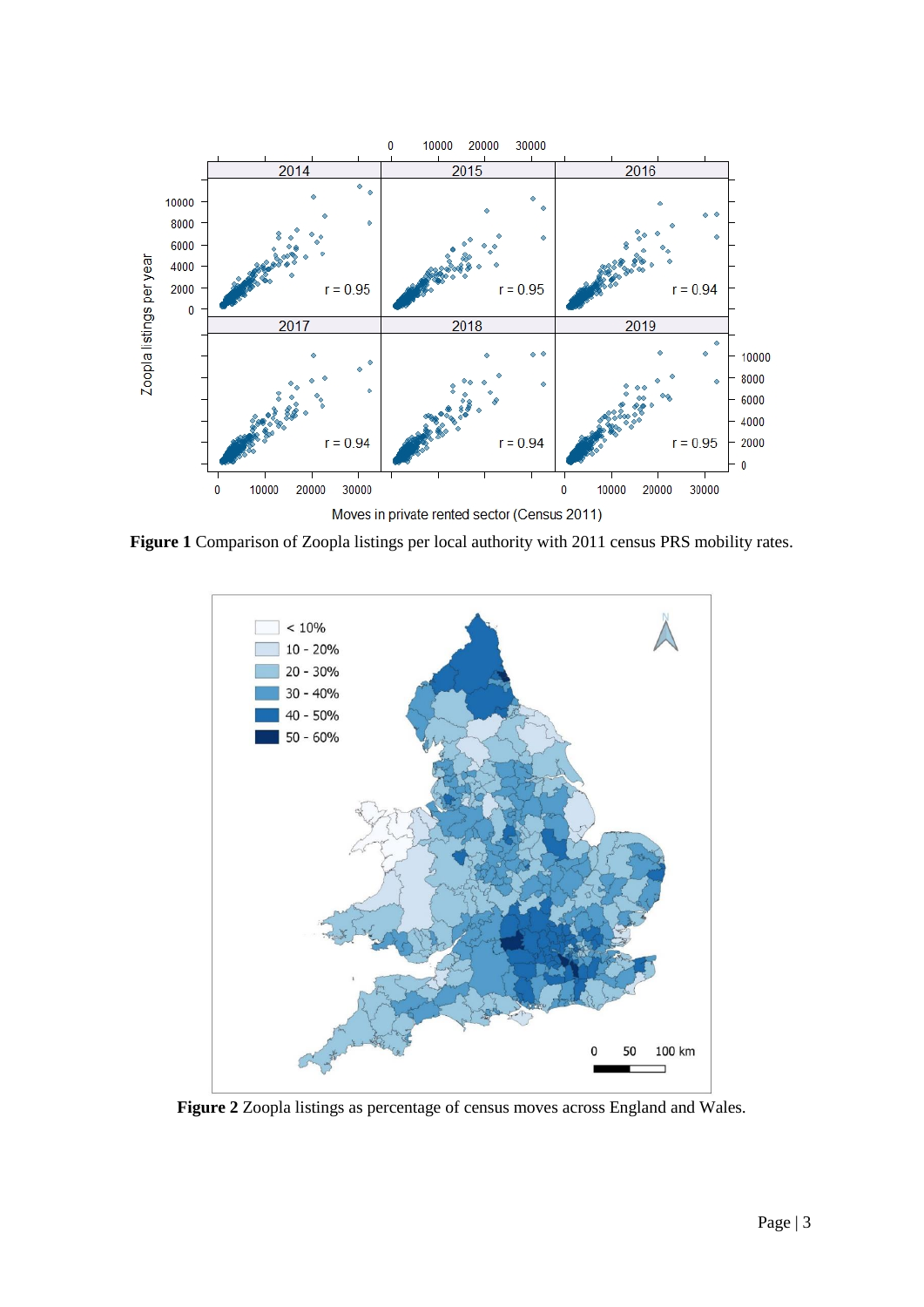

**Figure 1** Comparison of Zoopla listings per local authority with 2011 census PRS mobility rates.



**Figure 2** Zoopla listings as percentage of census moves across England and Wales.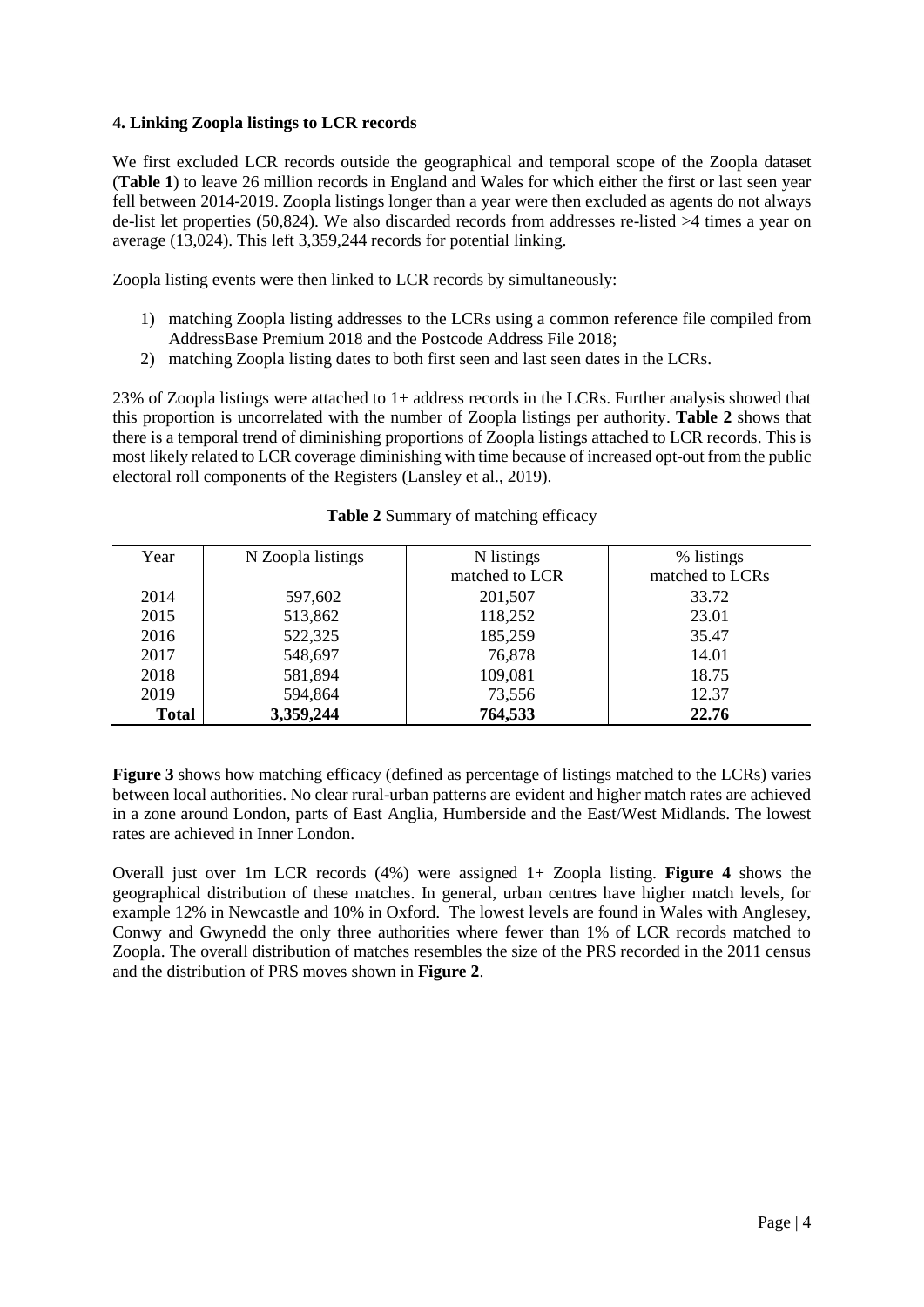# **4. Linking Zoopla listings to LCR records**

We first excluded LCR records outside the geographical and temporal scope of the Zoopla dataset (**Table 1**) to leave 26 million records in England and Wales for which either the first or last seen year fell between 2014-2019. Zoopla listings longer than a year were then excluded as agents do not always de-list let properties (50,824). We also discarded records from addresses re-listed >4 times a year on average (13,024). This left 3,359,244 records for potential linking.

Zoopla listing events were then linked to LCR records by simultaneously:

- 1) matching Zoopla listing addresses to the LCRs using a common reference file compiled from AddressBase Premium 2018 and the Postcode Address File 2018;
- 2) matching Zoopla listing dates to both first seen and last seen dates in the LCRs.

23% of Zoopla listings were attached to 1+ address records in the LCRs. Further analysis showed that this proportion is uncorrelated with the number of Zoopla listings per authority. **Table 2** shows that there is a temporal trend of diminishing proportions of Zoopla listings attached to LCR records. This is most likely related to LCR coverage diminishing with time because of increased opt-out from the public electoral roll components of the Registers (Lansley et al., 2019).

| Year         | N Zoopla listings | N listings     | % listings      |
|--------------|-------------------|----------------|-----------------|
|              |                   | matched to LCR | matched to LCRs |
| 2014         | 597,602           | 201,507        | 33.72           |
| 2015         | 513,862           | 118,252        | 23.01           |
| 2016         | 522,325           | 185,259        | 35.47           |
| 2017         | 548,697           | 76,878         | 14.01           |
| 2018         | 581,894           | 109,081        | 18.75           |
| 2019         | 594,864           | 73,556         | 12.37           |
| <b>Total</b> | 3,359,244         | 764,533        | 22.76           |

**Table 2** Summary of matching efficacy

**Figure 3** shows how matching efficacy (defined as percentage of listings matched to the LCRs) varies between local authorities. No clear rural-urban patterns are evident and higher match rates are achieved in a zone around London, parts of East Anglia, Humberside and the East/West Midlands. The lowest rates are achieved in Inner London.

Overall just over 1m LCR records (4%) were assigned 1+ Zoopla listing. **Figure 4** shows the geographical distribution of these matches. In general, urban centres have higher match levels, for example 12% in Newcastle and 10% in Oxford. The lowest levels are found in Wales with Anglesey, Conwy and Gwynedd the only three authorities where fewer than 1% of LCR records matched to Zoopla. The overall distribution of matches resembles the size of the PRS recorded in the 2011 census and the distribution of PRS moves shown in **Figure 2**.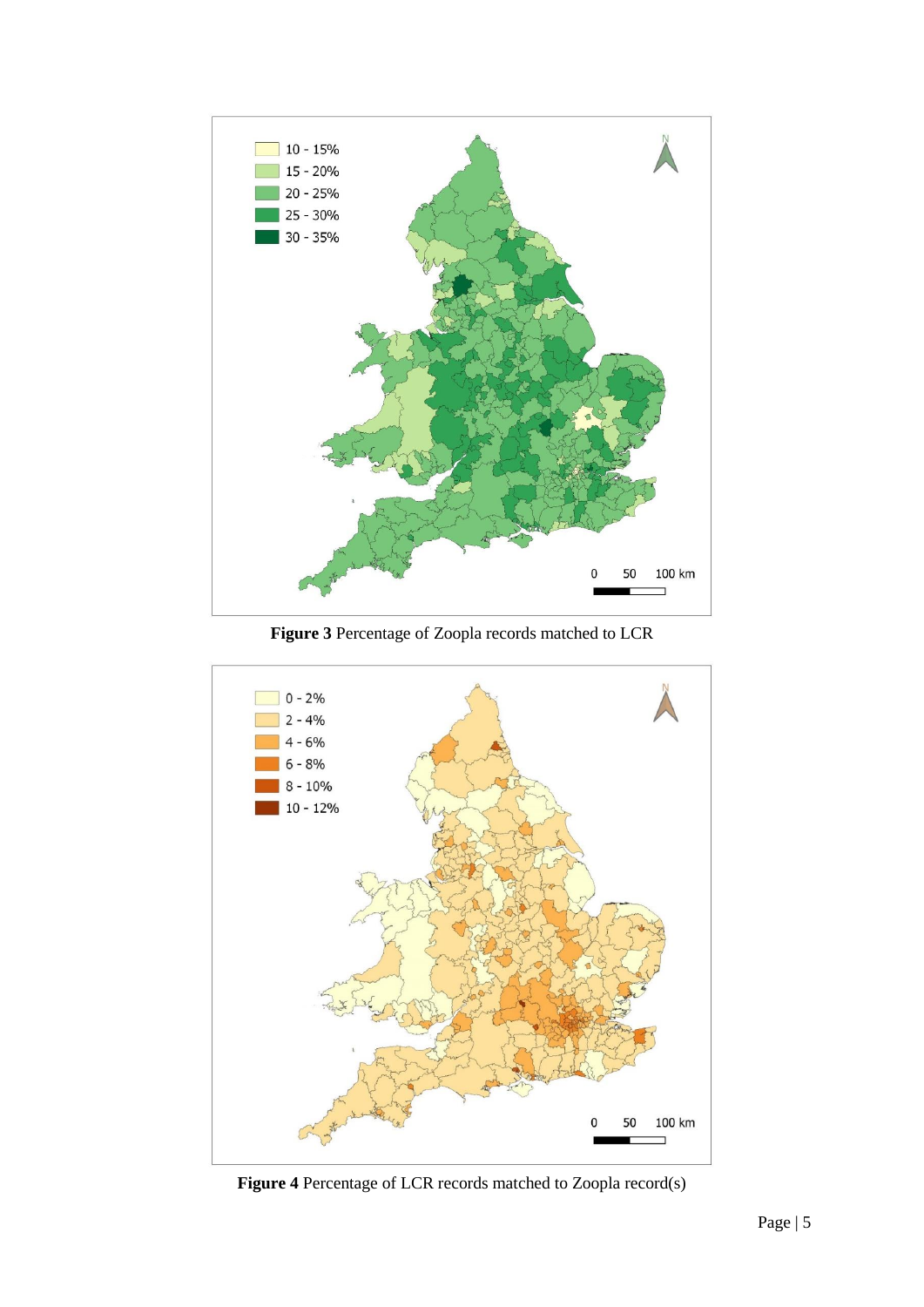

**Figure 3** Percentage of Zoopla records matched to LCR



**Figure 4** Percentage of LCR records matched to Zoopla record(s)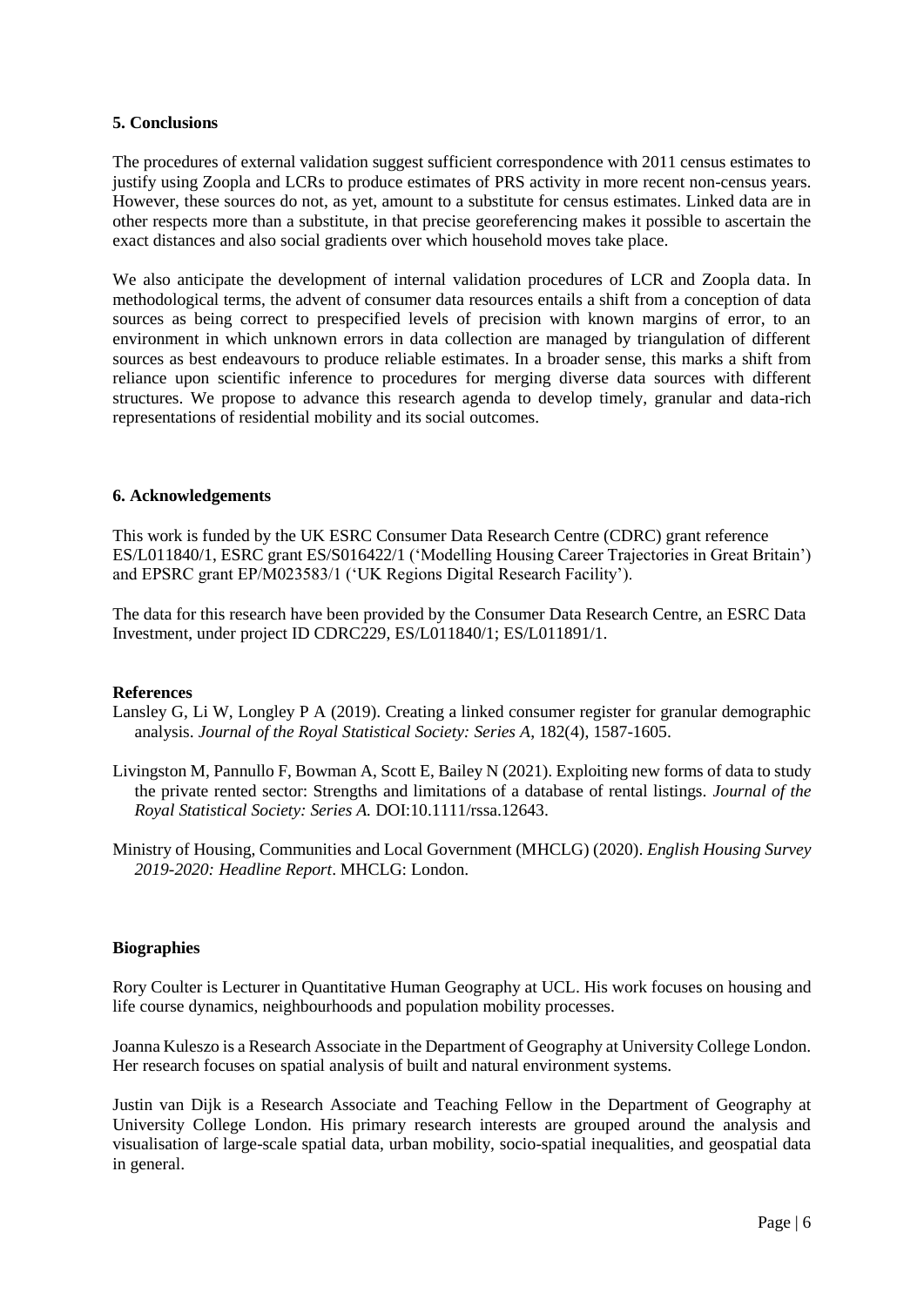## **5. Conclusions**

The procedures of external validation suggest sufficient correspondence with 2011 census estimates to justify using Zoopla and LCRs to produce estimates of PRS activity in more recent non-census years. However, these sources do not, as yet, amount to a substitute for census estimates. Linked data are in other respects more than a substitute, in that precise georeferencing makes it possible to ascertain the exact distances and also social gradients over which household moves take place.

We also anticipate the development of internal validation procedures of LCR and Zoopla data. In methodological terms, the advent of consumer data resources entails a shift from a conception of data sources as being correct to prespecified levels of precision with known margins of error, to an environment in which unknown errors in data collection are managed by triangulation of different sources as best endeavours to produce reliable estimates. In a broader sense, this marks a shift from reliance upon scientific inference to procedures for merging diverse data sources with different structures. We propose to advance this research agenda to develop timely, granular and data-rich representations of residential mobility and its social outcomes.

# **6. Acknowledgements**

This work is funded by the UK ESRC Consumer Data Research Centre (CDRC) grant reference ES/L011840/1, ESRC grant ES/S016422/1 ('Modelling Housing Career Trajectories in Great Britain') and EPSRC grant EP/M023583/1 ('UK Regions Digital Research Facility').

The data for this research have been provided by the Consumer Data Research Centre, an ESRC Data Investment, under project ID CDRC229, ES/L011840/1; ES/L011891/1.

### **References**

- Lansley G, Li W, Longley P A (2019). Creating a linked consumer register for granular demographic analysis. *Journal of the Royal Statistical Society: Series A*, 182(4), 1587-1605.
- Livingston M, Pannullo F, Bowman A, Scott E, Bailey N (2021). Exploiting new forms of data to study the private rented sector: Strengths and limitations of a database of rental listings. *Journal of the Royal Statistical Society: Series A.* DOI:10.1111/rssa.12643.
- Ministry of Housing, Communities and Local Government (MHCLG) (2020). *English Housing Survey 2019-2020: Headline Report*. MHCLG: London.

### **Biographies**

Rory Coulter is Lecturer in Quantitative Human Geography at UCL. His work focuses on housing and life course dynamics, neighbourhoods and population mobility processes.

Joanna Kuleszo is a Research Associate in the Department of Geography at University College London. Her research focuses on spatial analysis of built and natural environment systems.

Justin van Dijk is a Research Associate and Teaching Fellow in the Department of Geography at University College London. His primary research interests are grouped around the analysis and visualisation of large-scale spatial data, urban mobility, socio-spatial inequalities, and geospatial data in general.